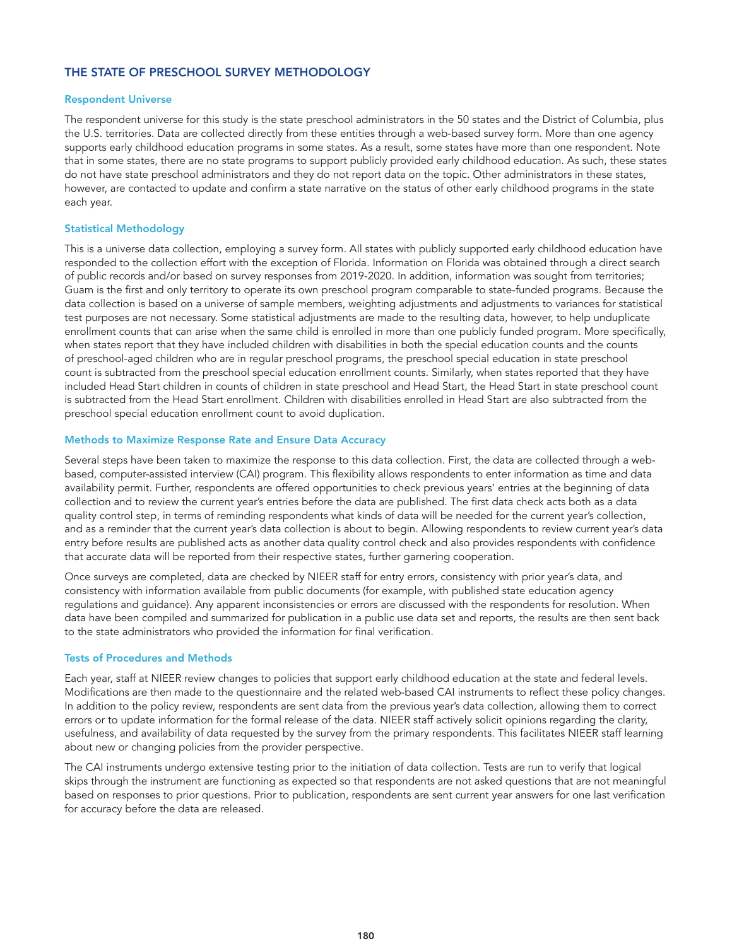# THE STATE OF PRESCHOOL SURVEY METHODOLOGY

#### Respondent Universe

The respondent universe for this study is the state preschool administrators in the 50 states and the District of Columbia, plus the U.S. territories. Data are collected directly from these entities through a web-based survey form. More than one agency supports early childhood education programs in some states. As a result, some states have more than one respondent. Note that in some states, there are no state programs to support publicly provided early childhood education. As such, these states do not have state preschool administrators and they do not report data on the topic. Other administrators in these states, however, are contacted to update and confirm a state narrative on the status of other early childhood programs in the state each year.

#### Statistical Methodology

This is a universe data collection, employing a survey form. All states with publicly supported early childhood education have responded to the collection effort with the exception of Florida. Information on Florida was obtained through a direct search of public records and/or based on survey responses from 2019-2020. In addition, information was sought from territories; Guam is the first and only territory to operate its own preschool program comparable to state-funded programs. Because the data collection is based on a universe of sample members, weighting adjustments and adjustments to variances for statistical test purposes are not necessary. Some statistical adjustments are made to the resulting data, however, to help unduplicate enrollment counts that can arise when the same child is enrolled in more than one publicly funded program. More specifically, when states report that they have included children with disabilities in both the special education counts and the counts of preschool-aged children who are in regular preschool programs, the preschool special education in state preschool count is subtracted from the preschool special education enrollment counts. Similarly, when states reported that they have included Head Start children in counts of children in state preschool and Head Start, the Head Start in state preschool count is subtracted from the Head Start enrollment. Children with disabilities enrolled in Head Start are also subtracted from the preschool special education enrollment count to avoid duplication.

#### Methods to Maximize Response Rate and Ensure Data Accuracy

Several steps have been taken to maximize the response to this data collection. First, the data are collected through a webbased, computer-assisted interview (CAI) program. This flexibility allows respondents to enter information as time and data availability permit. Further, respondents are offered opportunities to check previous years' entries at the beginning of data collection and to review the current year's entries before the data are published. The first data check acts both as a data quality control step, in terms of reminding respondents what kinds of data will be needed for the current year's collection, and as a reminder that the current year's data collection is about to begin. Allowing respondents to review current year's data entry before results are published acts as another data quality control check and also provides respondents with confidence that accurate data will be reported from their respective states, further garnering cooperation.

Once surveys are completed, data are checked by NIEER staff for entry errors, consistency with prior year's data, and consistency with information available from public documents (for example, with published state education agency regulations and guidance). Any apparent inconsistencies or errors are discussed with the respondents for resolution. When data have been compiled and summarized for publication in a public use data set and reports, the results are then sent back to the state administrators who provided the information for final verification.

#### Tests of Procedures and Methods

Each year, staff at NIEER review changes to policies that support early childhood education at the state and federal levels. Modifications are then made to the questionnaire and the related web-based CAI instruments to reflect these policy changes. In addition to the policy review, respondents are sent data from the previous year's data collection, allowing them to correct errors or to update information for the formal release of the data. NIEER staff actively solicit opinions regarding the clarity, usefulness, and availability of data requested by the survey from the primary respondents. This facilitates NIEER staff learning about new or changing policies from the provider perspective.

The CAI instruments undergo extensive testing prior to the initiation of data collection. Tests are run to verify that logical skips through the instrument are functioning as expected so that respondents are not asked questions that are not meaningful based on responses to prior questions. Prior to publication, respondents are sent current year answers for one last verification for accuracy before the data are released.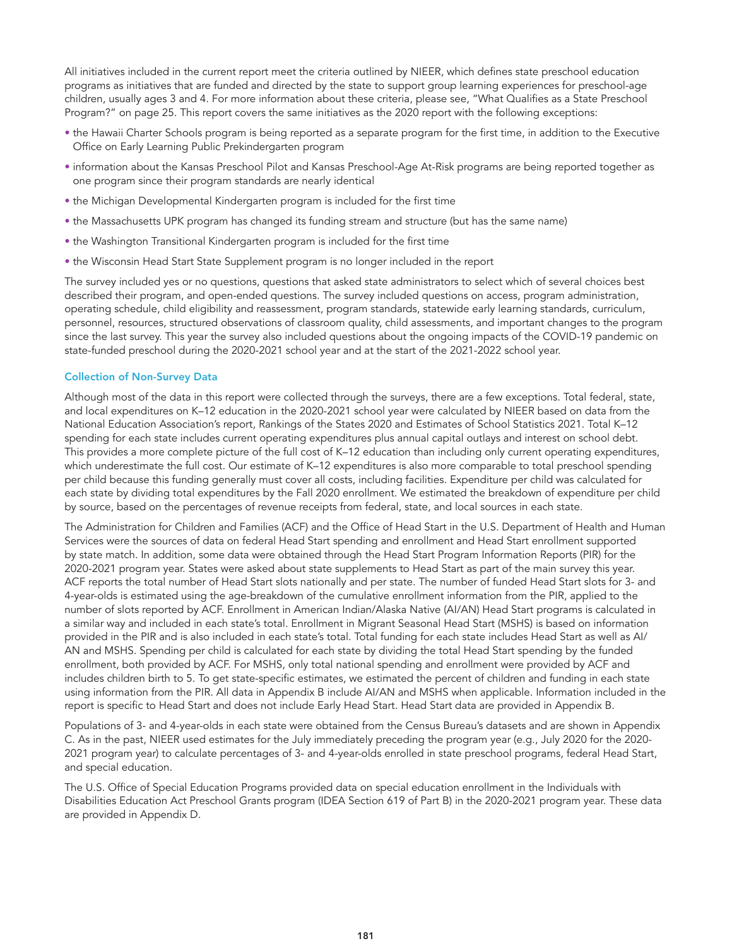All initiatives included in the current report meet the criteria outlined by NIEER, which defines state preschool education programs as initiatives that are funded and directed by the state to support group learning experiences for preschool-age children, usually ages 3 and 4. For more information about these criteria, please see, "What Qualifies as a State Preschool Program?" on page 25. This report covers the same initiatives as the 2020 report with the following exceptions:

- the Hawaii Charter Schools program is being reported as a separate program for the first time, in addition to the Executive Office on Early Learning Public Prekindergarten program
- information about the Kansas Preschool Pilot and Kansas Preschool-Age At-Risk programs are being reported together as one program since their program standards are nearly identical
- the Michigan Developmental Kindergarten program is included for the first time
- the Massachusetts UPK program has changed its funding stream and structure (but has the same name)
- the Washington Transitional Kindergarten program is included for the first time
- the Wisconsin Head Start State Supplement program is no longer included in the report

The survey included yes or no questions, questions that asked state administrators to select which of several choices best described their program, and open-ended questions. The survey included questions on access, program administration, operating schedule, child eligibility and reassessment, program standards, statewide early learning standards, curriculum, personnel, resources, structured observations of classroom quality, child assessments, and important changes to the program since the last survey. This year the survey also included questions about the ongoing impacts of the COVID-19 pandemic on state-funded preschool during the 2020-2021 school year and at the start of the 2021-2022 school year.

## Collection of Non-Survey Data

Although most of the data in this report were collected through the surveys, there are a few exceptions. Total federal, state, and local expenditures on K–12 education in the 2020-2021 school year were calculated by NIEER based on data from the National Education Association's report, Rankings of the States 2020 and Estimates of School Statistics 2021. Total K–12 spending for each state includes current operating expenditures plus annual capital outlays and interest on school debt. This provides a more complete picture of the full cost of K–12 education than including only current operating expenditures, which underestimate the full cost. Our estimate of K-12 expenditures is also more comparable to total preschool spending per child because this funding generally must cover all costs, including facilities. Expenditure per child was calculated for each state by dividing total expenditures by the Fall 2020 enrollment. We estimated the breakdown of expenditure per child by source, based on the percentages of revenue receipts from federal, state, and local sources in each state.

The Administration for Children and Families (ACF) and the Office of Head Start in the U.S. Department of Health and Human Services were the sources of data on federal Head Start spending and enrollment and Head Start enrollment supported by state match. In addition, some data were obtained through the Head Start Program Information Reports (PIR) for the 2020-2021 program year. States were asked about state supplements to Head Start as part of the main survey this year. ACF reports the total number of Head Start slots nationally and per state. The number of funded Head Start slots for 3- and 4-year-olds is estimated using the age-breakdown of the cumulative enrollment information from the PIR, applied to the number of slots reported by ACF. Enrollment in American Indian/Alaska Native (AI/AN) Head Start programs is calculated in a similar way and included in each state's total. Enrollment in Migrant Seasonal Head Start (MSHS) is based on information provided in the PIR and is also included in each state's total. Total funding for each state includes Head Start as well as AI/ AN and MSHS. Spending per child is calculated for each state by dividing the total Head Start spending by the funded enrollment, both provided by ACF. For MSHS, only total national spending and enrollment were provided by ACF and includes children birth to 5. To get state-specific estimates, we estimated the percent of children and funding in each state using information from the PIR. All data in Appendix B include AI/AN and MSHS when applicable. Information included in the report is specific to Head Start and does not include Early Head Start. Head Start data are provided in Appendix B.

Populations of 3- and 4-year-olds in each state were obtained from the Census Bureau's datasets and are shown in Appendix C. As in the past, NIEER used estimates for the July immediately preceding the program year (e.g., July 2020 for the 2020- 2021 program year) to calculate percentages of 3- and 4-year-olds enrolled in state preschool programs, federal Head Start, and special education.

The U.S. Office of Special Education Programs provided data on special education enrollment in the Individuals with Disabilities Education Act Preschool Grants program (IDEA Section 619 of Part B) in the 2020-2021 program year. These data are provided in Appendix D.